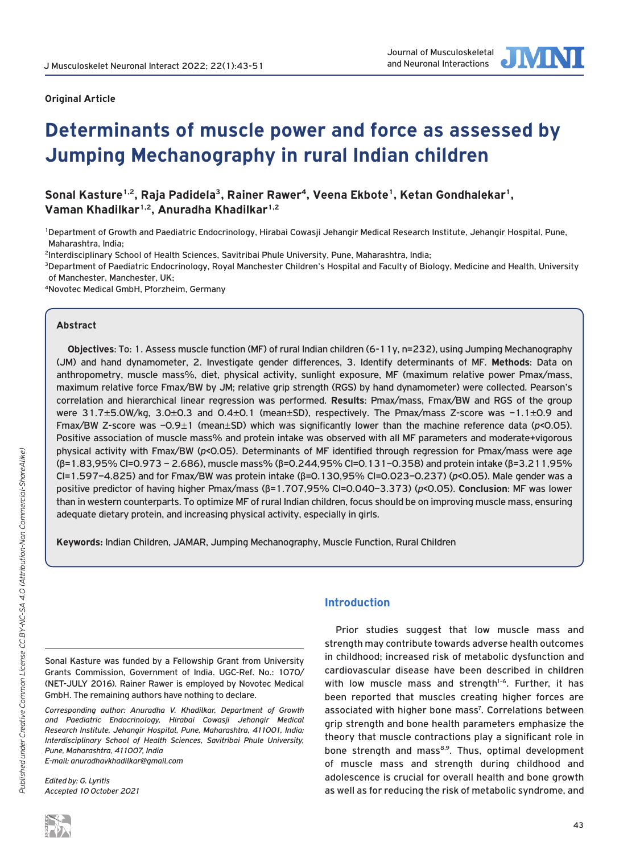

# **Determinants of muscle power and force as assessed by Jumping Mechanography in rural Indian children**

Sonal Kasture<sup>1,2</sup>, Raja Padidela<sup>3</sup>, Rainer Rawer<sup>4</sup>, Veena Ekbote<sup>1</sup>, Ketan Gondhalekar<sup>1</sup>, **Vaman Khadilkar1,2, Anuradha Khadilkar1,2**

1Department of Growth and Paediatric Endocrinology, Hirabai Cowasji Jehangir Medical Research Institute, Jehangir Hospital, Pune, Maharashtra, India;

2Interdisciplinary School of Health Sciences, Savitribai Phule University, Pune, Maharashtra, India;

<sup>3</sup>Department of Paediatric Endocrinology, Royal Manchester Children's Hospital and Faculty of Biology, Medicine and Health, University of Manchester, Manchester, UK;

4Novotec Medical GmbH, Pforzheim, Germany

## **Abstract**

**Original Article**

**Objectives**: To: 1. Assess muscle function (MF) of rural Indian children (6-11y, n=232), using Jumping Mechanography (JM) and hand dynamometer, 2. Investigate gender differences, 3. Identify determinants of MF. **Methods**: Data on anthropometry, muscle mass%, diet, physical activity, sunlight exposure, MF (maximum relative power Pmax/mass, maximum relative force Fmax/BW by JM; relative grip strength (RGS) by hand dynamometer) were collected. Pearson's correlation and hierarchical linear regression was performed. **Results**: Pmax/mass, Fmax/BW and RGS of the group were 31.7±5.0W/kg, 3.0±0.3 and 0.4±0.1 (mean±SD), respectively. The Pmax/mass Z-score was -1.1±0.9 and Fmax/BW Z-score was –0.9±1 (mean±SD) which was significantly lower than the machine reference data (*p*<0.05). Positive association of muscle mass% and protein intake was observed with all MF parameters and moderate+vigorous physical activity with Fmax/BW (*p*<0.05). Determinants of MF identified through regression for Pmax/mass were age (β=1.83,95% CI=0.973 – 2.686), muscle mass% (β=0.244,95% CI=0.131–0.358) and protein intake (β=3.211,95% CI=1.597–4.825) and for Fmax/BW was protein intake (β=0.130,95% CI=0.023–0.237) (*p*<0.05). Male gender was a positive predictor of having higher Pmax/mass (β=1.707,95% CI=0.040–3.373) (*p*<0.05). **Conclusion**: MF was lower than in western counterparts. To optimize MF of rural Indian children, focus should be on improving muscle mass, ensuring adequate dietary protein, and increasing physical activity, especially in girls.

**Keywords:** Indian Children, JAMAR, Jumping Mechanography, Muscle Function, Rural Children

Sonal Kasture was funded by a Fellowship Grant from University Grants Commission, Government of India. UGC-Ref. No.: 1070/ (NET-JULY 2016). Rainer Rawer is employed by Novotec Medical GmbH. The remaining authors have nothing to declare.

*Corresponding author: Anuradha V. Khadilkar, Department of Growth and Paediatric Endocrinology, Hirabai Cowasji Jehangir Medical Research Institute, Jehangir Hospital, Pune, Maharashtra, 411001, India; Interdisciplinary School of Health Sciences, Savitribai Phule University, Pune, Maharashtra, 411007, India E-mail: anuradhavkhadilkar@gmail.com*

*Edited by: G. Lyritis Accepted 10 October 2021*

# **Introduction**

Prior studies suggest that low muscle mass and strength may contribute towards adverse health outcomes in childhood; increased risk of metabolic dysfunction and cardiovascular disease have been described in children with low muscle mass and strength<sup>1-6</sup>. Further, it has been reported that muscles creating higher forces are associated with higher bone mass<sup>7</sup>. Correlations between grip strength and bone health parameters emphasize the theory that muscle contractions play a significant role in bone strength and mass<sup>8,9</sup>. Thus, optimal development of muscle mass and strength during childhood and adolescence is crucial for overall health and bone growth as well as for reducing the risk of metabolic syndrome, and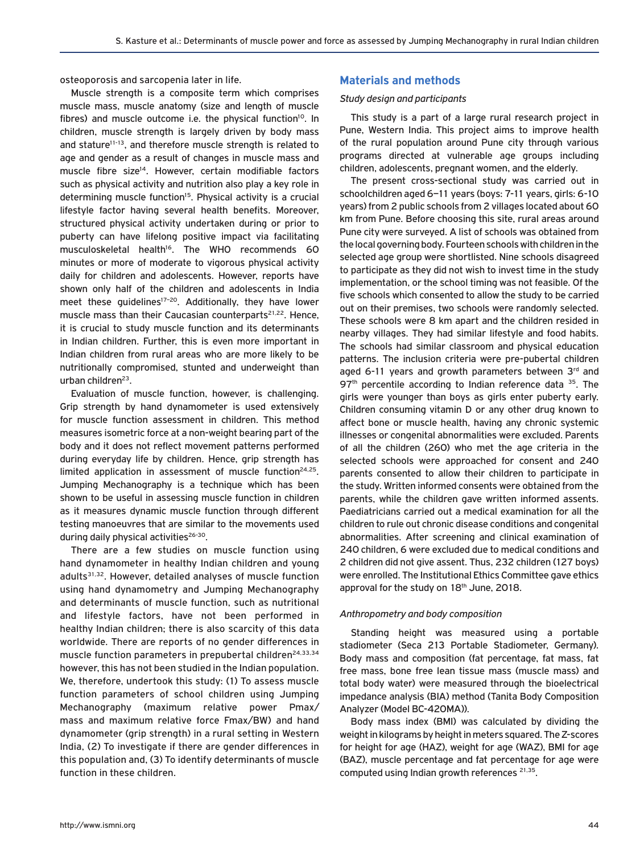osteoporosis and sarcopenia later in life.

Muscle strength is a composite term which comprises muscle mass, muscle anatomy (size and length of muscle fibres) and muscle outcome i.e. the physical function<sup>10</sup>. In children, muscle strength is largely driven by body mass and stature<sup>11-13</sup>, and therefore muscle strength is related to age and gender as a result of changes in muscle mass and muscle fibre size<sup>14</sup>. However, certain modifiable factors such as physical activity and nutrition also play a key role in determining muscle function<sup>15</sup>. Physical activity is a crucial lifestyle factor having several health benefits. Moreover, structured physical activity undertaken during or prior to puberty can have lifelong positive impact via facilitating musculoskeletal health<sup>16</sup>. The WHO recommends 60 minutes or more of moderate to vigorous physical activity daily for children and adolescents. However, reports have shown only half of the children and adolescents in India meet these guidelines<sup>17-20</sup>. Additionally, they have lower muscle mass than their Caucasian counterparts<sup>21,22</sup>. Hence, it is crucial to study muscle function and its determinants in Indian children. Further, this is even more important in Indian children from rural areas who are more likely to be nutritionally compromised, stunted and underweight than urban children<sup>23</sup>.

Evaluation of muscle function, however, is challenging. Grip strength by hand dynamometer is used extensively for muscle function assessment in children. This method measures isometric force at a non-weight bearing part of the body and it does not reflect movement patterns performed during everyday life by children. Hence, grip strength has limited application in assessment of muscle function<sup>24,25</sup>. Jumping Mechanography is a technique which has been shown to be useful in assessing muscle function in children as it measures dynamic muscle function through different testing manoeuvres that are similar to the movements used during daily physical activities<sup>26-30</sup>.

There are a few studies on muscle function using hand dynamometer in healthy Indian children and young adults<sup>31,32</sup>. However, detailed analyses of muscle function using hand dynamometry and Jumping Mechanography and determinants of muscle function, such as nutritional and lifestyle factors, have not been performed in healthy Indian children; there is also scarcity of this data worldwide. There are reports of no gender differences in muscle function parameters in prepubertal children<sup>24,33,34</sup> however, this has not been studied in the Indian population. We, therefore, undertook this study: (1) To assess muscle function parameters of school children using Jumping Mechanography (maximum relative power Pmax/ mass and maximum relative force Fmax/BW) and hand dynamometer (grip strength) in a rural setting in Western India, (2) To investigate if there are gender differences in this population and, (3) To identify determinants of muscle function in these children.

## **Materials and methods**

#### *Study design and participants*

This study is a part of a large rural research project in Pune, Western India. This project aims to improve health of the rural population around Pune city through various programs directed at vulnerable age groups including children, adolescents, pregnant women, and the elderly.

The present cross-sectional study was carried out in schoolchildren aged 6–11 years (boys: 7-11 years, girls: 6-10 years) from 2 public schools from 2 villages located about 60 km from Pune. Before choosing this site, rural areas around Pune city were surveyed. A list of schools was obtained from the local governing body. Fourteen schools with children in the selected age group were shortlisted. Nine schools disagreed to participate as they did not wish to invest time in the study implementation, or the school timing was not feasible. Of the five schools which consented to allow the study to be carried out on their premises, two schools were randomly selected. These schools were 8 km apart and the children resided in nearby villages. They had similar lifestyle and food habits. The schools had similar classroom and physical education patterns. The inclusion criteria were pre-pubertal children aged 6-11 years and growth parameters between 3rd and  $97<sup>th</sup>$  percentile according to Indian reference data  $35$ . The girls were younger than boys as girls enter puberty early. Children consuming vitamin D or any other drug known to affect bone or muscle health, having any chronic systemic illnesses or congenital abnormalities were excluded. Parents of all the children (260) who met the age criteria in the selected schools were approached for consent and 240 parents consented to allow their children to participate in the study. Written informed consents were obtained from the parents, while the children gave written informed assents. Paediatricians carried out a medical examination for all the children to rule out chronic disease conditions and congenital abnormalities. After screening and clinical examination of 240 children, 6 were excluded due to medical conditions and 2 children did not give assent. Thus, 232 children (127 boys) were enrolled. The Institutional Ethics Committee gave ethics approval for the study on 18<sup>th</sup> June, 2018.

### *Anthropometry and body composition*

Standing height was measured using a portable stadiometer (Seca 213 Portable Stadiometer, Germany). Body mass and composition (fat percentage, fat mass, fat free mass, bone free lean tissue mass (muscle mass) and total body water) were measured through the bioelectrical impedance analysis (BIA) method (Tanita Body Composition Analyzer (Model BC-420MA)).

Body mass index (BMI) was calculated by dividing the weight in kilograms by height in meters squared. The Z-scores for height for age (HAZ), weight for age (WAZ), BMI for age (BAZ), muscle percentage and fat percentage for age were computed using Indian growth references 21,35.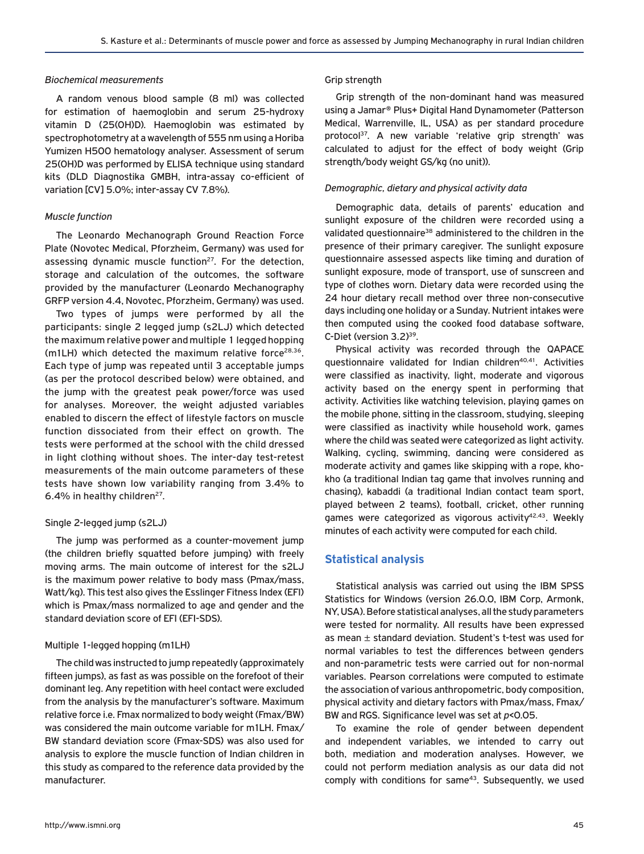## *Biochemical measurements*

A random venous blood sample (8 ml) was collected for estimation of haemoglobin and serum 25-hydroxy vitamin D (25(OH)D). Haemoglobin was estimated by spectrophotometry at a wavelength of 555 nm using a Horiba Yumizen H500 hematology analyser. Assessment of serum 25(OH)D was performed by ELISA technique using standard kits (DLD Diagnostika GMBH, intra-assay co-efficient of variation [CV] 5.0%; inter-assay CV 7.8%).

## *Muscle function*

The Leonardo Mechanograph Ground Reaction Force Plate (Novotec Medical, Pforzheim, Germany) was used for assessing dynamic muscle function<sup>27</sup>. For the detection, storage and calculation of the outcomes, the software provided by the manufacturer (Leonardo Mechanography GRFP version 4.4, Novotec, Pforzheim, Germany) was used.

Two types of jumps were performed by all the participants: single 2 legged jump (s2LJ) which detected the maximum relative power and multiple 1 legged hopping (m1LH) which detected the maximum relative force<sup>28,36</sup>. Each type of jump was repeated until 3 acceptable jumps (as per the protocol described below) were obtained, and the jump with the greatest peak power/force was used for analyses. Moreover, the weight adjusted variables enabled to discern the effect of lifestyle factors on muscle function dissociated from their effect on growth. The tests were performed at the school with the child dressed in light clothing without shoes. The inter-day test-retest measurements of the main outcome parameters of these tests have shown low variability ranging from 3.4% to 6.4% in healthy children<sup>27</sup>.

### Single 2-legged jump (s2LJ)

The jump was performed as a counter-movement jump (the children briefly squatted before jumping) with freely moving arms. The main outcome of interest for the s2LJ is the maximum power relative to body mass (Pmax/mass, Watt/kg). This test also gives the Esslinger Fitness Index (EFI) which is Pmax/mass normalized to age and gender and the standard deviation score of EFI (EFI-SDS).

## Multiple 1-legged hopping (m1LH)

The child was instructed to jump repeatedly (approximately fifteen jumps), as fast as was possible on the forefoot of their dominant leg. Any repetition with heel contact were excluded from the analysis by the manufacturer's software. Maximum relative force i.e. Fmax normalized to body weight (Fmax/BW) was considered the main outcome variable for m1LH. Fmax/ BW standard deviation score (Fmax-SDS) was also used for analysis to explore the muscle function of Indian children in this study as compared to the reference data provided by the manufacturer.

## Grip strength

Grip strength of the non-dominant hand was measured using a Jamar® Plus+ Digital Hand Dynamometer (Patterson Medical, Warrenville, IL, USA) as per standard procedure protocol37. A new variable 'relative grip strength' was calculated to adjust for the effect of body weight (Grip strength/body weight GS/kg (no unit)).

## *Demographic, dietary and physical activity data*

Demographic data, details of parents' education and sunlight exposure of the children were recorded using a validated questionnaire<sup>38</sup> administered to the children in the presence of their primary caregiver. The sunlight exposure questionnaire assessed aspects like timing and duration of sunlight exposure, mode of transport, use of sunscreen and type of clothes worn. Dietary data were recorded using the 24 hour dietary recall method over three non-consecutive days including one holiday or a Sunday. Nutrient intakes were then computed using the cooked food database software, C-Diet (version 3.2)<sup>39</sup>.

Physical activity was recorded through the QAPACE questionnaire validated for Indian children<sup>40,41</sup>. Activities were classified as inactivity, light, moderate and vigorous activity based on the energy spent in performing that activity. Activities like watching television, playing games on the mobile phone, sitting in the classroom, studying, sleeping were classified as inactivity while household work, games where the child was seated were categorized as light activity. Walking, cycling, swimming, dancing were considered as moderate activity and games like skipping with a rope, khokho (a traditional Indian tag game that involves running and chasing), kabaddi (a traditional Indian contact team sport, played between 2 teams), football, cricket, other running games were categorized as vigorous activity $42,43$ . Weekly minutes of each activity were computed for each child.

# **Statistical analysis**

Statistical analysis was carried out using the IBM SPSS Statistics for Windows (version 26.0.0, IBM Corp, Armonk, NY, USA). Before statistical analyses, all the study parameters were tested for normality. All results have been expressed as mean  $\pm$  standard deviation. Student's t-test was used for normal variables to test the differences between genders and non-parametric tests were carried out for non-normal variables. Pearson correlations were computed to estimate the association of various anthropometric, body composition, physical activity and dietary factors with Pmax/mass, Fmax/ BW and RGS. Significance level was set at *p*<0.05.

To examine the role of gender between dependent and independent variables, we intended to carry out both, mediation and moderation analyses. However, we could not perform mediation analysis as our data did not comply with conditions for same<sup>43</sup>. Subsequently, we used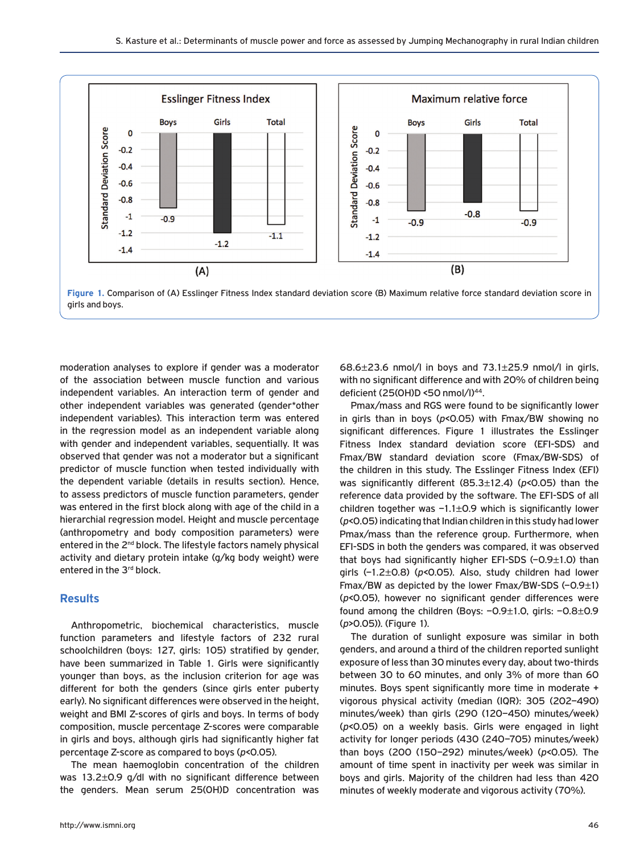

moderation analyses to explore if gender was a moderator of the association between muscle function and various independent variables. An interaction term of gender and other independent variables was generated (gender\*other independent variables). This interaction term was entered in the regression model as an independent variable along with gender and independent variables, sequentially. It was observed that gender was not a moderator but a significant predictor of muscle function when tested individually with the dependent variable (details in results section). Hence, to assess predictors of muscle function parameters, gender was entered in the first block along with age of the child in a hierarchial regression model. Height and muscle percentage (anthropometry and body composition parameters) were entered in the 2<sup>nd</sup> block. The lifestyle factors namely physical activity and dietary protein intake (g/kg body weight) were entered in the 3<sup>rd</sup> block.

## **Results**

Anthropometric, biochemical characteristics, muscle function parameters and lifestyle factors of 232 rural schoolchildren (boys: 127, girls: 105) stratified by gender, have been summarized in Table 1. Girls were significantly younger than boys, as the inclusion criterion for age was different for both the genders (since girls enter puberty early). No significant differences were observed in the height, weight and BMI Z-scores of girls and boys. In terms of body composition, muscle percentage Z-scores were comparable in girls and boys, although girls had significantly higher fat percentage Z-score as compared to boys (*p*<0.05).

The mean haemoglobin concentration of the children was 13.2±0.9 g/dl with no significant difference between the genders. Mean serum 25(OH)D concentration was 68.6±23.6 nmol/l in boys and 73.1±25.9 nmol/l in girls, with no significant difference and with 20% of children being deficient (25(OH)D <50 nmol/l)<sup>44</sup>.

Pmax/mass and RGS were found to be significantly lower in girls than in boys (*p*<0.05) with Fmax/BW showing no significant differences. Figure 1 illustrates the Esslinger Fitness Index standard deviation score (EFI-SDS) and Fmax/BW standard deviation score (Fmax/BW-SDS) of the children in this study. The Esslinger Fitness Index (EFI) was significantly different (85.3±12.4) (*p*<0.05) than the reference data provided by the software. The EFI-SDS of all children together was  $-1.1\pm0.9$  which is significantly lower (*p*<0.05) indicating that Indian children in this study had lower Pmax/mass than the reference group. Furthermore, when EFI-SDS in both the genders was compared, it was observed that boys had significantly higher EFI-SDS (–0.9±1.0) than girls (–1.2±0.8) (*p*<0.05). Also, study children had lower Fmax/BW as depicted by the lower Fmax/BW-SDS (–0.9±1) (*p*<0.05), however no significant gender differences were found among the children (Boys:  $-0.9\pm1.0$ , girls:  $-0.8\pm0.9$ (*p*>0.05)). (Figure 1).

The duration of sunlight exposure was similar in both genders, and around a third of the children reported sunlight exposure of less than 30 minutes every day, about two-thirds between 30 to 60 minutes, and only 3% of more than 60 minutes. Boys spent significantly more time in moderate + vigorous physical activity (median (IQR): 305 (202–490) minutes/week) than girls (290 (120–450) minutes/week) (*p*<0.05) on a weekly basis. Girls were engaged in light activity for longer periods (430 (240–705) minutes/week) than boys (200 (150–292) minutes/week) (*p*<0.05). The amount of time spent in inactivity per week was similar in boys and girls. Majority of the children had less than 420 minutes of weekly moderate and vigorous activity (70%).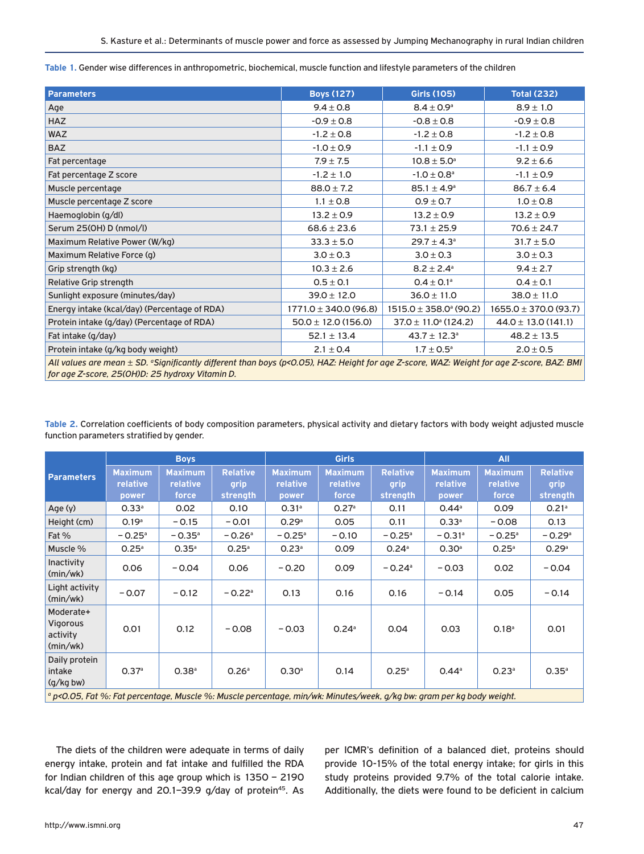| <b>Parameters</b>                                                                                                                                                                            | <b>Boys (127)</b>         | <b>Girls (105)</b>                | <b>Total (232)</b>        |  |  |
|----------------------------------------------------------------------------------------------------------------------------------------------------------------------------------------------|---------------------------|-----------------------------------|---------------------------|--|--|
| Age                                                                                                                                                                                          | $9.4 \pm 0.8$             | $8.4 \pm 0.9^{\rm a}$             | $8.9 \pm 1.0$             |  |  |
| <b>HAZ</b>                                                                                                                                                                                   | $-0.9 \pm 0.8$            | $-0.8 \pm 0.8$                    | $-0.9 \pm 0.8$            |  |  |
| <b>WAZ</b>                                                                                                                                                                                   | $-1.2 \pm 0.8$            | $-1.2 \pm 0.8$                    | $-1.2 \pm 0.8$            |  |  |
| <b>BAZ</b>                                                                                                                                                                                   | $-1.0 \pm 0.9$            | $-1.1 \pm 0.9$                    | $-1.1 \pm 0.9$            |  |  |
| Fat percentage                                                                                                                                                                               | $7.9 \pm 7.5$             | $10.8 \pm 5.0^{\circ}$            | $9.2 \pm 6.6$             |  |  |
| Fat percentage Z score                                                                                                                                                                       | $-1.2 \pm 1.0$            | $-1.0 \pm 0.8$ <sup>a</sup>       | $-1.1 \pm 0.9$            |  |  |
| Muscle percentage                                                                                                                                                                            | $88.0 \pm 7.2$            | $85.1 \pm 4.9^{\circ}$            | $86.7 \pm 6.4$            |  |  |
| Muscle percentage Z score                                                                                                                                                                    | $1.1 \pm 0.8$             | $0.9 \pm 0.7$                     | $1.0 \pm 0.8$             |  |  |
| Haemoglobin (g/dl)                                                                                                                                                                           | $13.2 \pm 0.9$            | $13.2 \pm 0.9$                    | $13.2 \pm 0.9$            |  |  |
| Serum 25(OH) D (nmol/l)                                                                                                                                                                      | $68.6 \pm 23.6$           | $73.1 \pm 25.9$                   | $70.6 \pm 24.7$           |  |  |
| Maximum Relative Power (W/kg)                                                                                                                                                                | $33.3 \pm 5.0$            | $29.7 \pm 4.3$ <sup>a</sup>       | $31.7 \pm 5.0$            |  |  |
| Maximum Relative Force (g)                                                                                                                                                                   | $3.0 \pm 0.3$             | $3.0 \pm 0.3$                     | $3.0 \pm 0.3$             |  |  |
| Grip strength (kg)                                                                                                                                                                           | $10.3 \pm 2.6$            | $8.2 \pm 2.4^{\circ}$             | $9.4 \pm 2.7$             |  |  |
| Relative Grip strength                                                                                                                                                                       | $0.5 \pm 0.1$             | $0.4 \pm 0.1^a$                   | $0.4 \pm 0.1$             |  |  |
| Sunlight exposure (minutes/day)                                                                                                                                                              | $39.0 \pm 12.0$           | $36.0 \pm 11.0$                   | $38.0 \pm 11.0$           |  |  |
| Energy intake (kcal/day) (Percentage of RDA)                                                                                                                                                 | $1771.0 \pm 340.0$ (96.8) | $1515.0 \pm 358.0^{\circ}$ (90.2) | $1655.0 \pm 370.0$ (93.7) |  |  |
| Protein intake (g/day) (Percentage of RDA)                                                                                                                                                   | $50.0 \pm 12.0$ (156.0)   | $37.0 \pm 11.0^{\circ}$ (124.2)   | $44.0 \pm 13.0$ (141.1)   |  |  |
| Fat intake (g/day)                                                                                                                                                                           | $52.1 \pm 13.4$           | $43.7 \pm 12.3$ <sup>a</sup>      | $48.2 \pm 13.5$           |  |  |
| Protein intake (g/kg body weight)                                                                                                                                                            | $2.1 \pm 0.4$             | $1.7 \pm 0.5^{\circ}$             | $2.0 \pm 0.5$             |  |  |
| All values are mean ± SD. °Significantly different than boys (p<0.05), HAZ: Height for age Z-score, WAZ: Weight for age Z-score, BAZ: BMI<br>for age Z-score, 25(OH)D: 25 hydroxy Vitamin D. |                           |                                   |                           |  |  |

**Table 1.** Gender wise differences in anthropometric, biochemical, muscle function and lifestyle parameters of the children

**Table 2.** Correlation coefficients of body composition parameters, physical activity and dietary factors with body weight adjusted muscle function parameters stratified by gender.

|                                               | <b>Boys</b>                         |                                     |                                     | <b>Girls</b>                        |                                     |                                     | All                                 |                                     |                                     |
|-----------------------------------------------|-------------------------------------|-------------------------------------|-------------------------------------|-------------------------------------|-------------------------------------|-------------------------------------|-------------------------------------|-------------------------------------|-------------------------------------|
| <b>Parameters</b>                             | <b>Maximum</b><br>relative<br>power | <b>Maximum</b><br>relative<br>force | <b>Relative</b><br>grip<br>strength | <b>Maximum</b><br>relative<br>power | <b>Maximum</b><br>relative<br>force | <b>Relative</b><br>grip<br>strength | <b>Maximum</b><br>relative<br>power | <b>Maximum</b><br>relative<br>force | <b>Relative</b><br>grip<br>strength |
| Age $(y)$                                     | 0.33 <sup>a</sup>                   | 0.02                                | 0.10                                | 0.31 <sup>a</sup>                   | 0.27 <sup>a</sup>                   | 0.11                                | $0.44^{\circ}$                      | 0.09                                | 0.21a                               |
| Height (cm)                                   | 0.19 <sup>a</sup>                   | $-0.15$                             | $-0.01$                             | 0.29 <sup>a</sup>                   | 0.05                                | 0.11                                | 0.33 <sup>a</sup>                   | $-0.08$                             | 0.13                                |
| Fat %                                         | $-0.25$ <sup>a</sup>                | $-0.35^{\circ}$                     | $-0.26$ <sup>a</sup>                | $-0.25$ <sup>a</sup>                | $-0.10$                             | $-0.25$ <sup>a</sup>                | $-0.31$ <sup>a</sup>                | $-0.25$ <sup>a</sup>                | $-0.29$ <sup>a</sup>                |
| Muscle %                                      | $0.25^{\circ}$                      | 0.35 <sup>a</sup>                   | $0.25^{\circ}$                      | 0.23 <sup>a</sup>                   | 0.09                                | 0.24a                               | 0.30 <sup>a</sup>                   | $0.25^{\circ}$                      | 0.29a                               |
| Inactivity<br>(min/wk)                        | 0.06                                | $-0.04$                             | 0.06                                | $-0.20$                             | 0.09                                | $-0.24$ <sup>a</sup>                | $-0.03$                             | 0.02                                | $-0.04$                             |
| Light activity<br>(min/wk)                    | $-0.07$                             | $-0.12$                             | $-0.22$ <sup>a</sup>                | 0.13                                | 0.16                                | 0.16                                | $-0.14$                             | 0.05                                | $-0.14$                             |
| Moderate+<br>Vigorous<br>activity<br>(min/wk) | 0.01                                | 0.12                                | $-0.08$                             | $-0.03$                             | 0.24a                               | 0.04                                | 0.03                                | 0.18 <sup>a</sup>                   | 0.01                                |
| Daily protein<br>intake<br>(q/kg bw)          | 0.37 <sup>a</sup>                   | 0.38 <sup>a</sup>                   | 0.26 <sup>a</sup>                   | 0.30 <sup>a</sup>                   | 0.14                                | $0.25$ <sup>a</sup>                 | $0.44^a$                            | 0.23a                               | 0.35 <sup>a</sup>                   |

*a p<0.05, Fat %: Fat percentage, Muscle %: Muscle percentage, min/wk: Minutes/week, g/kg bw: gram per kg body weight.*

The diets of the children were adequate in terms of daily energy intake, protein and fat intake and fulfilled the RDA for Indian children of this age group which is 1350 – 2190 kcal/day for energy and 20.1-39.9 g/day of protein<sup>45</sup>. As per ICMR's definition of a balanced diet, proteins should provide 10-15% of the total energy intake; for girls in this study proteins provided 9.7% of the total calorie intake. Additionally, the diets were found to be deficient in calcium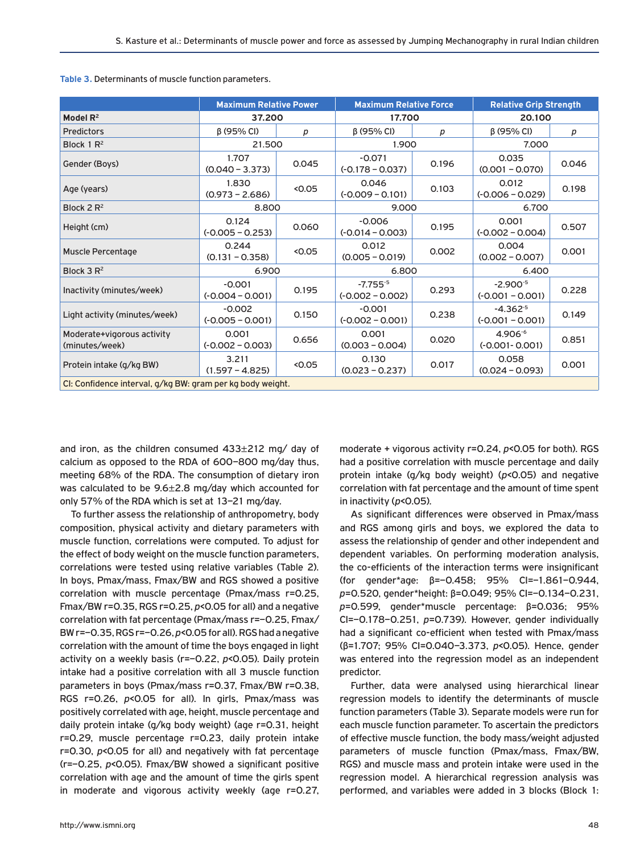|                                                            | <b>Maximum Relative Power</b>  |       | <b>Maximum Relative Force</b>       |       | <b>Relative Grip Strength</b>       |       |
|------------------------------------------------------------|--------------------------------|-------|-------------------------------------|-------|-------------------------------------|-------|
| Model $R^2$                                                | 37.200                         |       | 17.700                              |       | 20.100                              |       |
| <b>Predictors</b>                                          | $\beta$ (95% CI)               | р     | $\beta$ (95% CI)                    | р     | $\beta$ (95% CI)                    | p     |
| Block $1 \mathbb{R}^2$                                     | 21.500                         |       | 1.900                               |       | 7.000                               |       |
| Gender (Boys)                                              | 1.707<br>$(0.040 - 3.373)$     | 0.045 | $-0.071$<br>$(-0.178 - 0.037)$      | 0.196 | 0.035<br>$(0.001 - 0.070)$          | 0.046 |
| Age (years)                                                | 1.830<br>$(0.973 - 2.686)$     | 0.05  | 0.046<br>$(-0.009 - 0.101)$         | 0.103 | 0.012<br>$(-0.006 - 0.029)$         | 0.198 |
| Block $2 R^2$                                              | 8.800                          |       | 9.000                               |       | 6.700                               |       |
| Height (cm)                                                | 0.124<br>$(-0.005 - 0.253)$    | 0.060 | $-0.006$<br>$(-0.014 - 0.003)$      | 0.195 | 0.001<br>$(-0.002 - 0.004)$         | 0.507 |
| <b>Muscle Percentage</b>                                   | 0.244<br>$(0.131 - 0.358)$     | 0.05  | 0.012<br>$(0.005 - 0.019)$          | 0.002 | 0.004<br>$(0.002 - 0.007)$          | 0.001 |
| Block $3 R2$                                               | 6.900                          |       | 6.800                               |       | 6.400                               |       |
| Inactivity (minutes/week)                                  | $-0.001$<br>$(-0.004 - 0.001)$ | 0.195 | $-7.755^{-5}$<br>$(-0.002 - 0.002)$ | 0.293 | $-2.900^{-5}$<br>$(-0.001 - 0.001)$ | 0.228 |
| Light activity (minutes/week)                              | $-0.002$<br>$(-0.005 - 0.001)$ | 0.150 | $-0.001$<br>$(-0.002 - 0.001)$      | 0.238 | $-4.362 - 5$<br>$(-0.001 - 0.001)$  | 0.149 |
| Moderate+vigorous activity<br>(minutes/week)               | 0.001<br>$(-0.002 - 0.003)$    | 0.656 | 0.001<br>$(0.003 - 0.004)$          | 0.020 | $4.906 - 6$<br>$(-0.001 - 0.001)$   | 0.851 |
| Protein intake (g/kg BW)                                   | 3.211<br>$(1.597 - 4.825)$     | 0.05  | 0.130<br>$(0.023 - 0.237)$          | 0.017 | 0.058<br>$(0.024 - 0.093)$          | 0.001 |
| CI: Confidence interval, g/kg BW: gram per kg body weight. |                                |       |                                     |       |                                     |       |

| Table 3. Determinants of muscle function parameters. |  |
|------------------------------------------------------|--|
|------------------------------------------------------|--|

and iron, as the children consumed  $433\pm212$  mg/ day of calcium as opposed to the RDA of 600–800 mg/day thus, meeting 68% of the RDA. The consumption of dietary iron was calculated to be  $9.6 \pm 2.8$  mg/day which accounted for only 57% of the RDA which is set at 13–21 mg/day.

To further assess the relationship of anthropometry, body composition, physical activity and dietary parameters with muscle function, correlations were computed. To adjust for the effect of body weight on the muscle function parameters, correlations were tested using relative variables (Table 2). In boys, Pmax/mass, Fmax/BW and RGS showed a positive correlation with muscle percentage (Pmax/mass r=0.25, Fmax/BW r=0.35, RGS r=0.25, *p*<0.05 for all) and a negative correlation with fat percentage (Pmax/mass r=–0.25, Fmax/ BW r=–0.35, RGS r=–0.26, *p*<0.05 for all). RGS had a negative correlation with the amount of time the boys engaged in light activity on a weekly basis (r=–0.22, *p*<0.05). Daily protein intake had a positive correlation with all 3 muscle function parameters in boys (Pmax/mass r=0.37, Fmax/BW r=0.38, RGS r=0.26, *p*<0.05 for all). In girls, Pmax/mass was positively correlated with age, height, muscle percentage and daily protein intake (g/kg body weight) (age r=0.31, height r=0.29, muscle percentage r=0.23, daily protein intake r=0.30, *p*<0.05 for all) and negatively with fat percentage (r=–0.25, *p*<0.05). Fmax/BW showed a significant positive correlation with age and the amount of time the girls spent in moderate and vigorous activity weekly (age r=0.27, moderate + vigorous activity r=0.24, *p*<0.05 for both). RGS had a positive correlation with muscle percentage and daily protein intake (g/kg body weight) (*p*<0.05) and negative correlation with fat percentage and the amount of time spent in inactivity (*p*<0.05).

As significant differences were observed in Pmax/mass and RGS among girls and boys, we explored the data to assess the relationship of gender and other independent and dependent variables. On performing moderation analysis, the co-efficients of the interaction terms were insignificant (for gender\*age: β=–0.458; 95% CI=–1.861–0.944, *p*=0.520, gender\*height: β=0.049; 95% CI=–0.134–0.231, *p*=0.599, gender\*muscle percentage: β=0.036; 95% CI=–0.178–0.251, *p*=0.739). However, gender individually had a significant co-efficient when tested with Pmax/mass (β=1.707; 95% CI=0.040–3.373, *p*<0.05). Hence, gender was entered into the regression model as an independent predictor.

Further, data were analysed using hierarchical linear regression models to identify the determinants of muscle function parameters (Table 3). Separate models were run for each muscle function parameter. To ascertain the predictors of effective muscle function, the body mass/weight adjusted parameters of muscle function (Pmax/mass, Fmax/BW, RGS) and muscle mass and protein intake were used in the regression model. A hierarchical regression analysis was performed, and variables were added in 3 blocks (Block 1: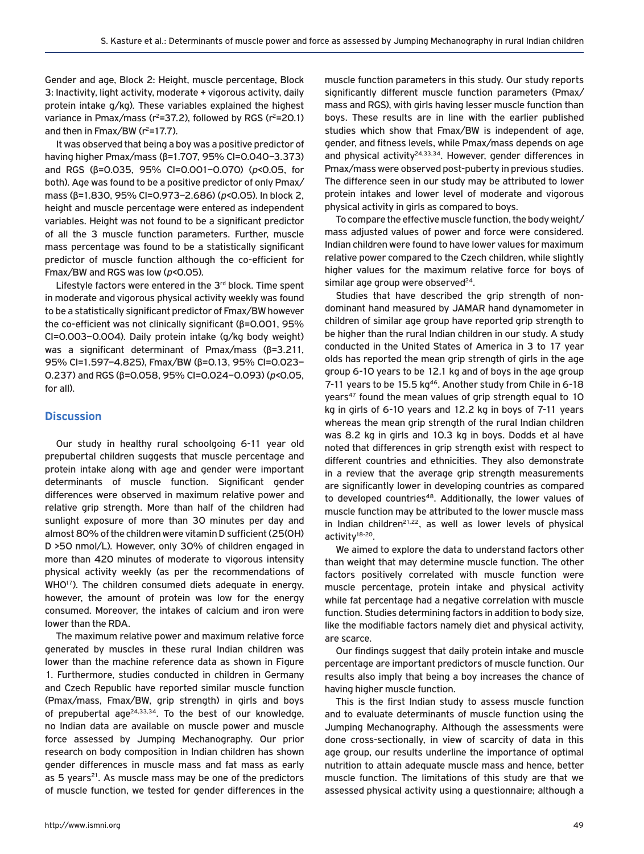Gender and age, Block 2: Height, muscle percentage, Block 3: Inactivity, light activity, moderate + vigorous activity, daily protein intake g/kg). These variables explained the highest variance in Pmax/mass ( $r^2$ =37.2), followed by RGS ( $r^2$ =20.1) and then in Fmax/BW ( $r^2$ =17.7).

It was observed that being a boy was a positive predictor of having higher Pmax/mass (β=1.707, 95% CI=0.040–3.373) and RGS (β=0.035, 95% CI=0.001–0.070) (*p*<0.05, for both). Age was found to be a positive predictor of only Pmax/ mass (β=1.830, 95% CI=0.973–2.686) (*p*<0.05). In block 2, height and muscle percentage were entered as independent variables. Height was not found to be a significant predictor of all the 3 muscle function parameters. Further, muscle mass percentage was found to be a statistically significant predictor of muscle function although the co-efficient for Fmax/BW and RGS was low (*p*<0.05).

Lifestyle factors were entered in the 3rd block. Time spent in moderate and vigorous physical activity weekly was found to be a statistically significant predictor of Fmax/BW however the co-efficient was not clinically significant (β=0.001, 95% CI=0.003–0.004). Daily protein intake (g/kg body weight) was a significant determinant of Pmax/mass (β=3.211, 95% CI=1.597–4.825), Fmax/BW (β=0.13, 95% CI=0.023– 0.237) and RGS (β=0.058, 95% CI=0.024–0.093) (*p*<0.05, for all).

## **Discussion**

Our study in healthy rural schoolgoing 6-11 year old prepubertal children suggests that muscle percentage and protein intake along with age and gender were important determinants of muscle function. Significant gender differences were observed in maximum relative power and relative grip strength. More than half of the children had sunlight exposure of more than 30 minutes per day and almost 80% of the children were vitamin D sufficient (25(OH) D >50 nmol/L). However, only 30% of children engaged in more than 420 minutes of moderate to vigorous intensity physical activity weekly (as per the recommendations of WHO<sup>17</sup>). The children consumed diets adequate in energy, however, the amount of protein was low for the energy consumed. Moreover, the intakes of calcium and iron were lower than the RDA.

The maximum relative power and maximum relative force generated by muscles in these rural Indian children was lower than the machine reference data as shown in Figure 1. Furthermore, studies conducted in children in Germany and Czech Republic have reported similar muscle function (Pmax/mass, Fmax/BW, grip strength) in girls and boys of prepubertal age<sup>24,33,34</sup>. To the best of our knowledge, no Indian data are available on muscle power and muscle force assessed by Jumping Mechanography. Our prior research on body composition in Indian children has shown gender differences in muscle mass and fat mass as early as 5 years $21$ . As muscle mass may be one of the predictors of muscle function, we tested for gender differences in the

muscle function parameters in this study. Our study reports significantly different muscle function parameters (Pmax/ mass and RGS), with girls having lesser muscle function than boys. These results are in line with the earlier published studies which show that Fmax/BW is independent of age, gender, and fitness levels, while Pmax/mass depends on age and physical activity<sup>24,33,34</sup>. However, gender differences in Pmax/mass were observed post-puberty in previous studies. The difference seen in our study may be attributed to lower protein intakes and lower level of moderate and vigorous physical activity in girls as compared to boys.

To compare the effective muscle function, the body weight/ mass adjusted values of power and force were considered. Indian children were found to have lower values for maximum relative power compared to the Czech children, while slightly higher values for the maximum relative force for boys of similar age group were observed<sup>24</sup>.

Studies that have described the grip strength of nondominant hand measured by JAMAR hand dynamometer in children of similar age group have reported grip strength to be higher than the rural Indian children in our study. A study conducted in the United States of America in 3 to 17 year olds has reported the mean grip strength of girls in the age group 6-10 years to be 12.1 kg and of boys in the age group 7-11 years to be 15.5 kg<sup>46</sup>. Another study from Chile in 6-18 years<sup>47</sup> found the mean values of grip strength equal to 10 kg in girls of 6-10 years and 12.2 kg in boys of 7-11 years whereas the mean grip strength of the rural Indian children was 8.2 kg in girls and 10.3 kg in boys. Dodds et al have noted that differences in grip strength exist with respect to different countries and ethnicities. They also demonstrate in a review that the average grip strength measurements are significantly lower in developing countries as compared to developed countries<sup>48</sup>. Additionally, the lower values of muscle function may be attributed to the lower muscle mass in Indian children<sup>21,22</sup>, as well as lower levels of physical activity<sup>18-20</sup>.

We aimed to explore the data to understand factors other than weight that may determine muscle function. The other factors positively correlated with muscle function were muscle percentage, protein intake and physical activity while fat percentage had a negative correlation with muscle function. Studies determining factors in addition to body size, like the modifiable factors namely diet and physical activity, are scarce.

Our findings suggest that daily protein intake and muscle percentage are important predictors of muscle function. Our results also imply that being a boy increases the chance of having higher muscle function.

This is the first Indian study to assess muscle function and to evaluate determinants of muscle function using the Jumping Mechanography. Although the assessments were done cross-sectionally, in view of scarcity of data in this age group, our results underline the importance of optimal nutrition to attain adequate muscle mass and hence, better muscle function. The limitations of this study are that we assessed physical activity using a questionnaire; although a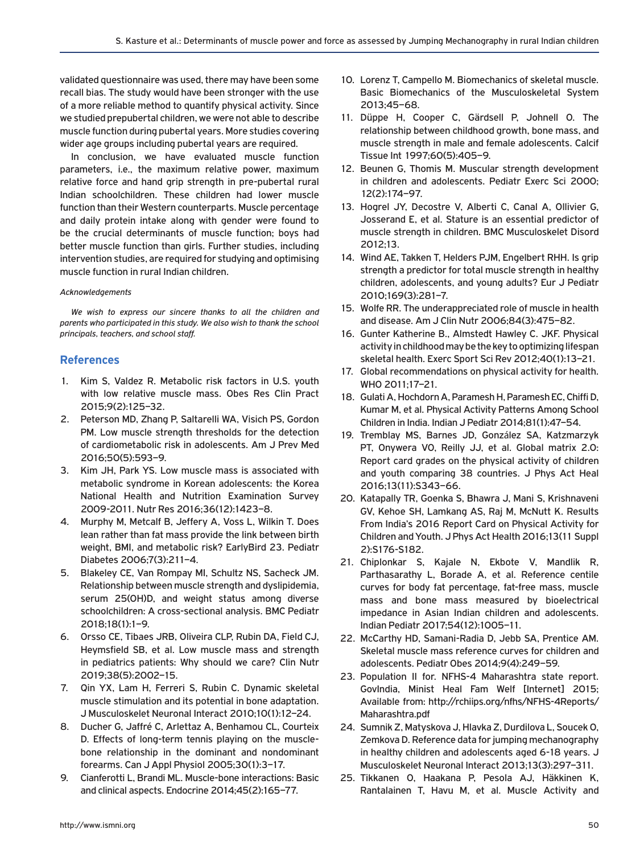validated questionnaire was used, there may have been some recall bias. The study would have been stronger with the use of a more reliable method to quantify physical activity. Since we studied prepubertal children, we were not able to describe muscle function during pubertal years. More studies covering wider age groups including pubertal years are required.

In conclusion, we have evaluated muscle function parameters, i.e., the maximum relative power, maximum relative force and hand grip strength in pre-pubertal rural Indian schoolchildren. These children had lower muscle function than their Western counterparts. Muscle percentage and daily protein intake along with gender were found to be the crucial determinants of muscle function; boys had better muscle function than girls. Further studies, including intervention studies, are required for studying and optimising muscle function in rural Indian children.

### *Acknowledgements*

*We wish to express our sincere thanks to all the children and parents who participated in this study. We also wish to thank the school principals, teachers, and school staff.*

## **References**

- 1. Kim S, Valdez R. Metabolic risk factors in U.S. youth with low relative muscle mass. Obes Res Clin Pract 2015;9(2):125–32.
- 2. Peterson MD, Zhang P, Saltarelli WA, Visich PS, Gordon PM. Low muscle strength thresholds for the detection of cardiometabolic risk in adolescents. Am J Prev Med 2016;50(5):593–9.
- 3. Kim JH, Park YS. Low muscle mass is associated with metabolic syndrome in Korean adolescents: the Korea National Health and Nutrition Examination Survey 2009-2011. Nutr Res 2016;36(12):1423–8.
- 4. Murphy M, Metcalf B, Jeffery A, Voss L, Wilkin T. Does lean rather than fat mass provide the link between birth weight, BMI, and metabolic risk? EarlyBird 23. Pediatr Diabetes 2006;7(3):211–4.
- 5. Blakeley CE, Van Rompay MI, Schultz NS, Sacheck JM. Relationship between muscle strength and dyslipidemia, serum 25(OH)D, and weight status among diverse schoolchildren: A cross-sectional analysis. BMC Pediatr 2018;18(1):1–9.
- 6. Orsso CE, Tibaes JRB, Oliveira CLP, Rubin DA, Field CJ, Heymsfield SB, et al. Low muscle mass and strength in pediatrics patients: Why should we care? Clin Nutr 2019;38(5):2002–15.
- 7. Qin YX, Lam H, Ferreri S, Rubin C. Dynamic skeletal muscle stimulation and its potential in bone adaptation. J Musculoskelet Neuronal Interact 2010;10(1):12–24.
- 8. Ducher G, Jaffré C, Arlettaz A, Benhamou CL, Courteix D. Effects of long-term tennis playing on the musclebone relationship in the dominant and nondominant forearms. Can J Appl Physiol 2005;30(1):3–17.
- 9. Cianferotti L, Brandi ML. Muscle-bone interactions: Basic and clinical aspects. Endocrine 2014;45(2):165–77.
- 10. Lorenz T, Campello M. Biomechanics of skeletal muscle. Basic Biomechanics of the Musculoskeletal System 2013;45–68.
- 11. Düppe H, Cooper C, Gärdsell P, Johnell O. The relationship between childhood growth, bone mass, and muscle strength in male and female adolescents. Calcif Tissue Int 1997;60(5):405–9.
- 12. Beunen G, Thomis M. Muscular strength development in children and adolescents. Pediatr Exerc Sci 2000; 12(2):174–97.
- 13. Hogrel JY, Decostre V, Alberti C, Canal A, Ollivier G, Josserand E, et al. Stature is an essential predictor of muscle strength in children. BMC Musculoskelet Disord 2012;13.
- 14. Wind AE, Takken T, Helders PJM, Engelbert RHH. Is grip strength a predictor for total muscle strength in healthy children, adolescents, and young adults? Eur J Pediatr 2010;169(3):281–7.
- 15. Wolfe RR. The underappreciated role of muscle in health and disease. Am J Clin Nutr 2006;84(3):475–82.
- 16. Gunter Katherine B., Almstedt Hawley C. JKF. Physical activity in childhood may be the key to optimizing lifespan skeletal health. Exerc Sport Sci Rev 2012;40(1):13–21.
- 17. Global recommendations on physical activity for health. WHO 2011;17–21.
- 18. Gulati A, Hochdorn A, Paramesh H, Paramesh EC, Chiffi D, Kumar M, et al. Physical Activity Patterns Among School Children in India. Indian J Pediatr 2014;81(1):47–54.
- 19. Tremblay MS, Barnes JD, González SA, Katzmarzyk PT, Onywera VO, Reilly JJ, et al. Global matrix 2.0: Report card grades on the physical activity of children and youth comparing 38 countries. J Phys Act Heal 2016;13(11):S343–66.
- 20. Katapally TR, Goenka S, Bhawra J, Mani S, Krishnaveni GV, Kehoe SH, Lamkang AS, Raj M, McNutt K. Results From India's 2016 Report Card on Physical Activity for Children and Youth. J Phys Act Health 2016;13(11 Suppl 2):S176-S182.
- 21. Chiplonkar S, Kajale N, Ekbote V, Mandlik R, Parthasarathy L, Borade A, et al. Reference centile curves for body fat percentage, fat-free mass, muscle mass and bone mass measured by bioelectrical impedance in Asian Indian children and adolescents. Indian Pediatr 2017;54(12):1005–11.
- 22. McCarthy HD, Samani-Radia D, Jebb SA, Prentice AM. Skeletal muscle mass reference curves for children and adolescents. Pediatr Obes 2014;9(4):249–59.
- [23. Population II for. NFHS-4 Maharashtra state report.](http://rchiips.org/nfhs/NFHS-4Reports/Maharashtra.pdf)  GovIndia, Minist Heal Fam Welf [Internet] 2015; Available from: http://rchiips.org/nfhs/NFHS-4Reports/ Maharashtra.pdf
- 24. Sumnik Z, Matyskova J, Hlavka Z, Durdilova L, Soucek O, Zemkova D. Reference data for jumping mechanography in healthy children and adolescents aged 6-18 years. J Musculoskelet Neuronal Interact 2013;13(3):297–311.
- 25. Tikkanen O, Haakana P, Pesola AJ, Häkkinen K, Rantalainen T, Havu M, et al. Muscle Activity and